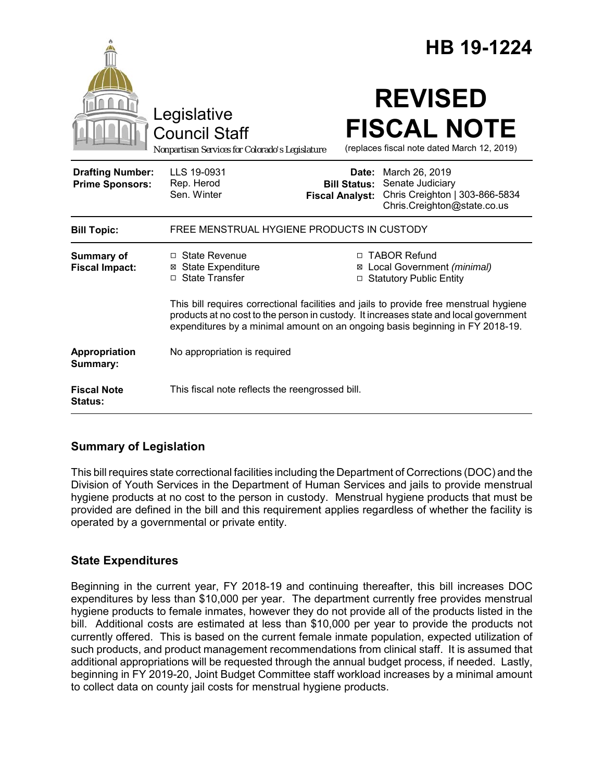|                                                   |                                                                                                                                                                                                                                                                  |                                                        | HB 19-1224                                                                                          |  |
|---------------------------------------------------|------------------------------------------------------------------------------------------------------------------------------------------------------------------------------------------------------------------------------------------------------------------|--------------------------------------------------------|-----------------------------------------------------------------------------------------------------|--|
|                                                   | Legislative<br><b>Council Staff</b><br>Nonpartisan Services for Colorado's Legislature                                                                                                                                                                           |                                                        | <b>REVISED</b><br><b>FISCAL NOTE</b><br>(replaces fiscal note dated March 12, 2019)                 |  |
| <b>Drafting Number:</b><br><b>Prime Sponsors:</b> | LLS 19-0931<br>Rep. Herod<br>Sen. Winter                                                                                                                                                                                                                         | Date:<br><b>Bill Status:</b><br><b>Fiscal Analyst:</b> | March 26, 2019<br>Senate Judiciary<br>Chris Creighton   303-866-5834<br>Chris.Creighton@state.co.us |  |
| <b>Bill Topic:</b>                                | FREE MENSTRUAL HYGIENE PRODUCTS IN CUSTODY                                                                                                                                                                                                                       |                                                        |                                                                                                     |  |
| <b>Summary of</b><br><b>Fiscal Impact:</b>        | $\Box$ State Revenue<br><b>⊠</b> State Expenditure<br>□ State Transfer                                                                                                                                                                                           | □ TABOR Refund<br>⊠<br>□                               | Local Government (minimal)<br><b>Statutory Public Entity</b>                                        |  |
|                                                   | This bill requires correctional facilities and jails to provide free menstrual hygiene<br>products at no cost to the person in custody. It increases state and local government<br>expenditures by a minimal amount on an ongoing basis beginning in FY 2018-19. |                                                        |                                                                                                     |  |
| Appropriation<br>Summary:                         | No appropriation is required                                                                                                                                                                                                                                     |                                                        |                                                                                                     |  |
| <b>Fiscal Note</b><br><b>Status:</b>              | This fiscal note reflects the reengrossed bill.                                                                                                                                                                                                                  |                                                        |                                                                                                     |  |

# **Summary of Legislation**

This bill requires state correctional facilities including the Department of Corrections (DOC) and the Division of Youth Services in the Department of Human Services and jails to provide menstrual hygiene products at no cost to the person in custody. Menstrual hygiene products that must be provided are defined in the bill and this requirement applies regardless of whether the facility is operated by a governmental or private entity.

## **State Expenditures**

Beginning in the current year, FY 2018-19 and continuing thereafter, this bill increases DOC expenditures by less than \$10,000 per year. The department currently free provides menstrual hygiene products to female inmates, however they do not provide all of the products listed in the bill. Additional costs are estimated at less than \$10,000 per year to provide the products not currently offered. This is based on the current female inmate population, expected utilization of such products, and product management recommendations from clinical staff. It is assumed that additional appropriations will be requested through the annual budget process, if needed. Lastly, beginning in FY 2019-20, Joint Budget Committee staff workload increases by a minimal amount to collect data on county jail costs for menstrual hygiene products.